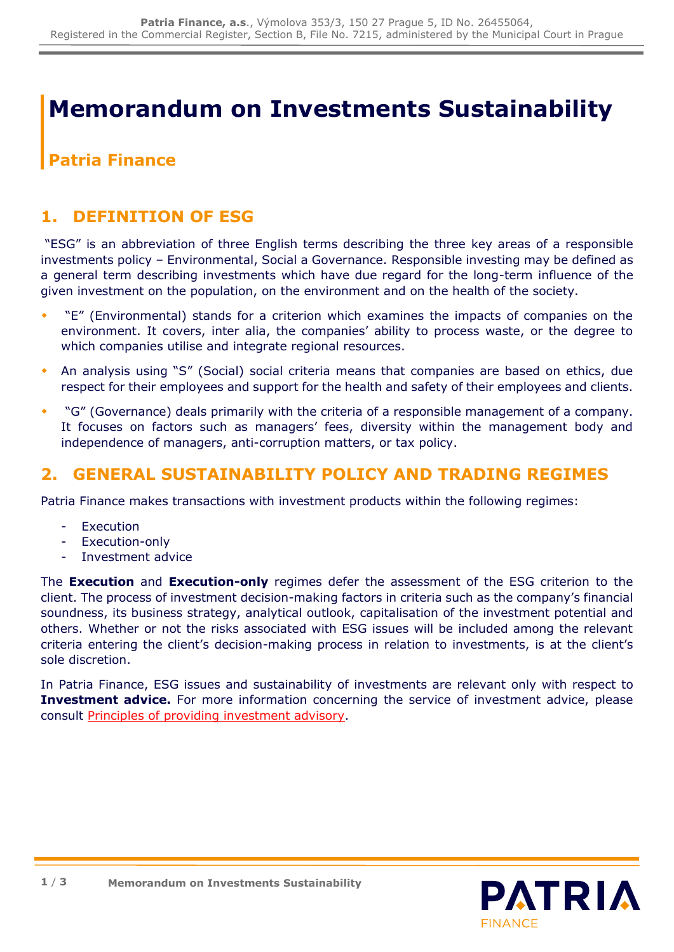# **Memorandum on Investments Sustainability**

# **Patria Finance**

# **1. DEFINITION OF ESG**

"ESG" is an abbreviation of three English terms describing the three key areas of a responsible investments policy – Environmental, Social a Governance. Responsible investing may be defined as a general term describing investments which have due regard for the long-term influence of the given investment on the population, on the environment and on the health of the society.

- "E" (Environmental) stands for a criterion which examines the impacts of companies on the environment. It covers, inter alia, the companies' ability to process waste, or the degree to which companies utilise and integrate regional resources.
- An analysis using "S" (Social) social criteria means that companies are based on ethics, due respect for their employees and support for the health and safety of their employees and clients.
- "G" (Governance) deals primarily with the criteria of a responsible management of a company. It focuses on factors such as managers' fees, diversity within the management body and independence of managers, anti-corruption matters, or tax policy.

### **2. GENERAL SUSTAINABILITY POLICY AND TRADING REGIMES**

Patria Finance makes transactions with investment products within the following regimes:

- **Execution**
- Execution-only
- Investment advice

The **Execution** and **Execution-only** regimes defer the assessment of the ESG criterion to the client. The process of investment decision-making factors in criteria such as the company's financial soundness, its business strategy, analytical outlook, capitalisation of the investment potential and others. Whether or not the risks associated with ESG issues will be included among the relevant criteria entering the client's decision-making process in relation to investments, is at the client's sole discretion.

In Patria Finance, ESG issues and sustainability of investments are relevant only with respect to **Investment advice.** For more information concerning the service of investment advice, please consult [Principles of providing investment advisory.](https://cdn.patria.cz/Principy-poskytovani-investicniho-poradenstvi.en.pdf)

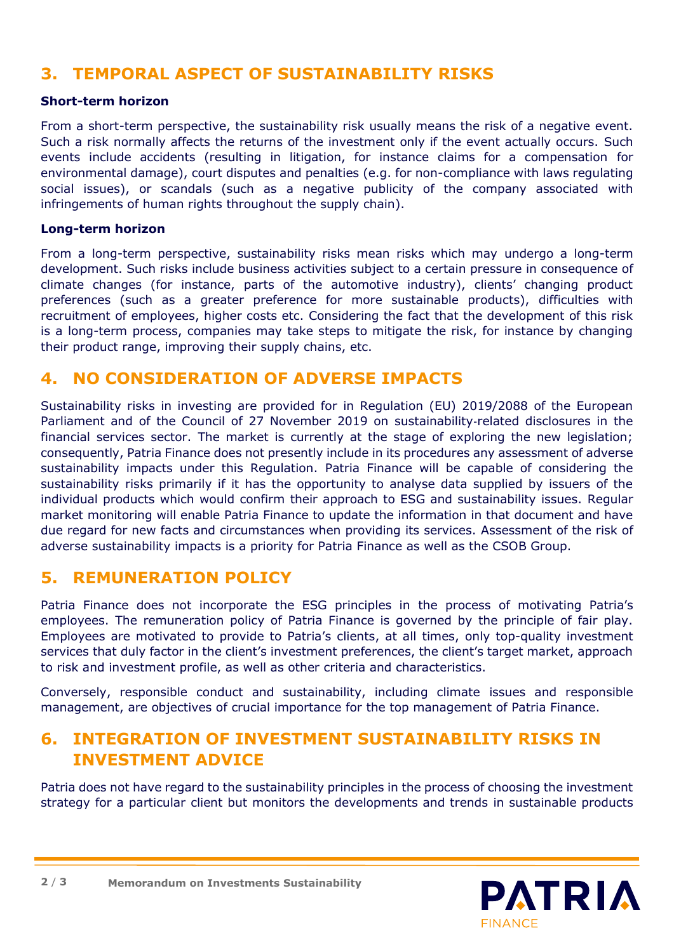# **3. TEMPORAL ASPECT OF SUSTAINABILITY RISKS**

#### **Short-term horizon**

From a short-term perspective, the sustainability risk usually means the risk of a negative event. Such a risk normally affects the returns of the investment only if the event actually occurs. Such events include accidents (resulting in litigation, for instance claims for a compensation for environmental damage), court disputes and penalties (e.g. for non-compliance with laws regulating social issues), or scandals (such as a negative publicity of the company associated with infringements of human rights throughout the supply chain).

#### **Long-term horizon**

From a long-term perspective, sustainability risks mean risks which may undergo a long-term development. Such risks include business activities subject to a certain pressure in consequence of climate changes (for instance, parts of the automotive industry), clients' changing product preferences (such as a greater preference for more sustainable products), difficulties with recruitment of employees, higher costs etc. Considering the fact that the development of this risk is a long-term process, companies may take steps to mitigate the risk, for instance by changing their product range, improving their supply chains, etc.

# **4. NO CONSIDERATION OF ADVERSE IMPACTS**

Sustainability risks in investing are provided for in Regulation (EU) 2019/2088 of the European Parliament and of the Council of 27 November 2019 on sustainability-related disclosures in the financial services sector. The market is currently at the stage of exploring the new legislation; consequently, Patria Finance does not presently include in its procedures any assessment of adverse sustainability impacts under this Regulation. Patria Finance will be capable of considering the sustainability risks primarily if it has the opportunity to analyse data supplied by issuers of the individual products which would confirm their approach to ESG and sustainability issues. Regular market monitoring will enable Patria Finance to update the information in that document and have due regard for new facts and circumstances when providing its services. Assessment of the risk of adverse sustainability impacts is a priority for Patria Finance as well as the CSOB Group.

# **5. REMUNERATION POLICY**

Patria Finance does not incorporate the ESG principles in the process of motivating Patria's employees. The remuneration policy of Patria Finance is governed by the principle of fair play. Employees are motivated to provide to Patria's clients, at all times, only top-quality investment services that duly factor in the client's investment preferences, the client's target market, approach to risk and investment profile, as well as other criteria and characteristics.

Conversely, responsible conduct and sustainability, including climate issues and responsible management, are objectives of crucial importance for the top management of Patria Finance.

# **6. INTEGRATION OF INVESTMENT SUSTAINABILITY RISKS IN INVESTMENT ADVICE**

Patria does not have regard to the sustainability principles in the process of choosing the investment strategy for a particular client but monitors the developments and trends in sustainable products